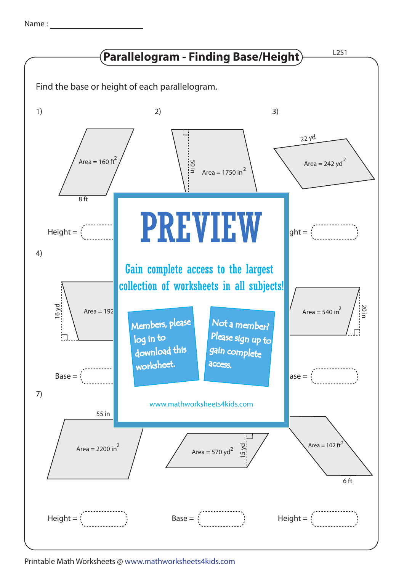| Name |  |
|------|--|
|      |  |



Printable Math Worksheets @ www.mathworksheets4kids.com